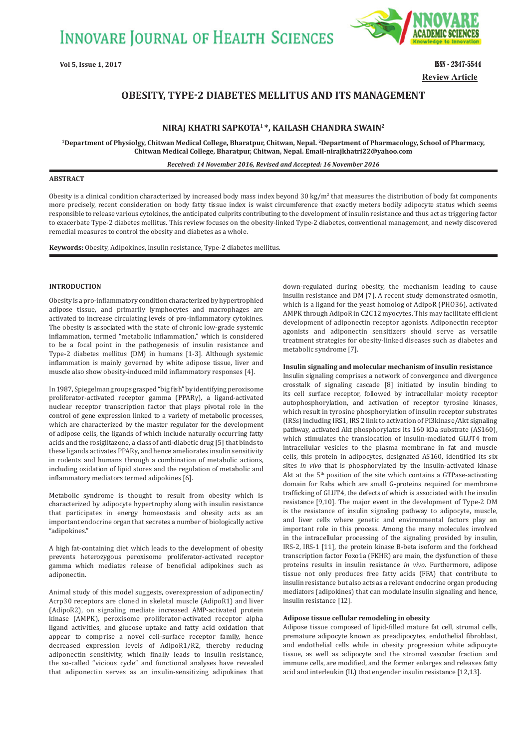**INNOVARE JOURNAL OF HEALTH SCIENCES** 



**Review Article Vol 5, Issue 1, 2017** ISSN - 2347-5544

# **OBESITY, TYPEǧ2 DIABETES MELLITUS AND ITS MANAGEMENT**

# **NIRAJ KHATRI SAPKOTA1 \*, KAILASH CHANDRA SWAIN2**

**1Department of Physiolgy, Chitwan Medical College, Bharatpur, Chitwan, Nepal. 2Department of Pharmacology, School of Pharmacy, Chitwan Medical College, Bharatpur, Chitwan, Nepal. Email-nirajkhatri22@yahoo.com**

*Received: 14 November 2016, Revised and Accepted: 16 November 2016*

# **ABSTRACT**

Obesity is a clinical condition characterized by increased body mass index beyond 30 kg/m<sup>2</sup> that measures the distribution of body fat components more precisely, recent consideration on body fatty tissue index is waist circumference that exactly meters bodily adipocyte status which seems responsible to release various cytokines, the anticipated culprits contributing to the development of insulin resistance and thus act as triggering factor to exacerbate Type-2 diabetes mellitus. This review focuses on the obesity-linked Type-2 diabetes, conventional management, and newly discovered remedial measures to control the obesity and diabetes as a whole.

**Keywords:** Obesity, Adipokines, Insulin resistance, Type-2 diabetes mellitus.

# **INTRODUCTION**

Obesity is a pro-inflammatory condition characterized by hypertrophied adipose tissue, and primarily lymphocytes and macrophages are activated to increase circulating levels of pro-inflammatory cytokines. The obesity is associated with the state of chronic low-grade systemic inflammation, termed "metabolic inflammation," which is considered to be a focal point in the pathogenesis of insulin resistance and Type-2 diabetes mellitus (DM) in humans [1-3]. Although systemic inflammation is mainly governed by white adipose tissue, liver and muscle also show obesity-induced mild inflammatory responses [4].

In 1987, Spiegelman groups grasped "big fish" by identifying peroxisome proliferator-activated receptor gamma (PPARγ), a ligand-activated nuclear receptor transcription factor that plays pivotal role in the control of gene expression linked to a variety of metabolic processes, which are characterized by the master regulator for the development of adipose cells, the ligands of which include naturally occurring fatty acids and the rosiglitazone, a class of anti-diabetic drug [5] that binds to these ligands activates PPARγ, and hence ameliorates insulin sensitivity in rodents and humans through a combination of metabolic actions, including oxidation of lipid stores and the regulation of metabolic and inflammatory mediators termed adipokines [6].

Metabolic syndrome is thought to result from obesity which is characterized by adipocyte hypertrophy along with insulin resistance that participates in energy homeostasis and obesity acts as an important endocrine organ that secretes a number of biologically active "adipokines."

A high fat-containing diet which leads to the development of obesity prevents heterozygous peroxisome proliferator-activated receptor gamma which mediates release of beneficial adipokines such as adiponectin.

Animal study of this model suggests, overexpression of adiponectin/ Acrp30 receptors are cloned in skeletal muscle (AdipoR1) and liver (AdipoR2), on signaling mediate increased AMP-activated protein kinase (AMPK), peroxisome proliferator-activated receptor alpha ligand activities, and glucose uptake and fatty acid oxidation that appear to comprise a novel cell-surface receptor family, hence decreased expression levels of AdipoR1/R2, thereby reducing adiponectin sensitivity, which finally leads to insulin resistance, the so-called "vicious cycle" and functional analyses have revealed that adiponectin serves as an insulin-sensitizing adipokines that down-regulated during obesity, the mechanism leading to cause insulin resistance and DM [7]. A recent study demonstrated osmotin, which is a ligand for the yeast homolog of AdipoR (PHO36), activated AMPK through AdipoR in C2C12 myocytes. This may facilitate efficient development of adiponectin receptor agonists. Adiponectin receptor agonists and adiponectin sensitizers should serve as versatile treatment strategies for obesity-linked diseases such as diabetes and metabolic syndrome [7].

# **Insulin signaling and molecular mechanism of insulin resistance**

Insulin signaling comprises a network of convergence and divergence crosstalk of signaling cascade [8] initiated by insulin binding to its cell surface receptor, followed by intracellular moiety receptor autophosphorylation, and activation of receptor tyrosine kinases, which result in tyrosine phosphorylation of insulin receptor substrates (IRSs) including IRS1, IRS 2 link to activation of PI3kinase/Akt signaling pathway, activated Akt phosphorylates its 160 kDa substrate (AS160), which stimulates the translocation of insulin-mediated GLUT4 from intracellular vesicles to the plasma membrane in fat and muscle cells, this protein in adipocytes, designated AS160, identified its six sites *in vivo* that is phosphorylated by the insulin-activated kinase Akt at the  $5<sup>th</sup>$  position of the site which contains a GTPase-activating domain for Rabs which are small G-proteins required for membrane trafficking of GLUT4, the defects of which is associated with the insulin resistance [9,10]. The major event in the development of Type-2 DM is the resistance of insulin signaling pathway to adipocyte, muscle, and liver cells where genetic and environmental factors play an important role in this process. Among the many molecules involved in the intracellular processing of the signaling provided by insulin, IRS-2, IRS-1 [11], the protein kinase B-beta isoform and the forkhead transcription factor Foxo1a (FKHR) are main, the dysfunction of these proteins results in insulin resistance *in vivo*. Furthermore, adipose tissue not only produces free fatty acids (FFA) that contribute to insulin resistance but also acts as a relevant endocrine organ producing mediators (adipokines) that can modulate insulin signaling and hence, insulin resistance [12].

### **Adipose tissue cellular remodeling in obesity**

Adipose tissue composed of lipid-filled mature fat cell, stromal cells, premature adipocyte known as preadipocytes, endothelial fibroblast, and endothelial cells while in obesity progression white adipocyte tissue, as well as adipocyte and the stromal vascular fraction and immune cells, are modified, and the former enlarges and releases fatty acid and interleukin (IL) that engender insulin resistance [12,13].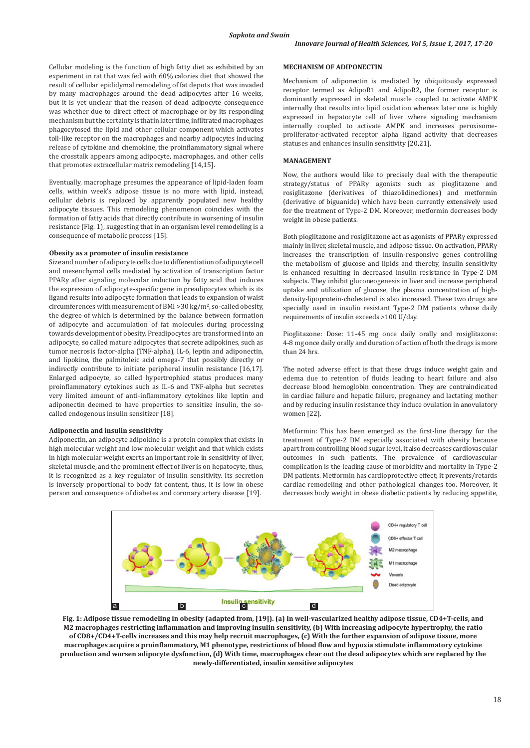Cellular modeling is the function of high fatty diet as exhibited by an experiment in rat that was fed with 60% calories diet that showed the result of cellular epididymal remodeling of fat depots that was invaded by many macrophages around the dead adipocytes after 16 weeks, but it is yet unclear that the reason of dead adipocyte consequence was whether due to direct effect of macrophage or by its responding mechanism but the certainty is that in later time, infiltrated macrophages phagocytosed the lipid and other cellular component which activates toll-like receptor on the macrophages and nearby adipocytes inducing release of cytokine and chemokine, the proinflammatory signal where the crosstalk appears among adipocyte, macrophages, and other cells that promotes extracellular matrix remodeling [14,15].

Eventually, macrophage presumes the appearance of lipid-laden foam cells, within week's adipose tissue is no more with lipid, instead, cellular debris is replaced by apparently populated new healthy adipocyte tissues. This remodeling phenomenon coincides with the formation of fatty acids that directly contribute in worsening of insulin resistance (Fig. 1), suggesting that in an organism level remodeling is a consequence of metabolic process [15].

#### **Obesity as a promoter of insulin resistance**

Size and number of adipocyte cells due to differentiation of adipocyte cell and mesenchymal cells mediated by activation of transcription factor PPARγ after signaling molecular induction by fatty acid that induces the expression of adipocyte-specific gene in preadipocytes which is its ligand results into adipocyte formation that leads to expansion of waist circumferences with measurement of BMI  $>$ 30 kg/m<sup>2</sup>, so-called obesity, the degree of which is determined by the balance between formation of adipocyte and accumulation of fat molecules during processing towards development of obesity. Preadipocytes are transformed into an adipocyte, so called mature adipocytes that secrete adipokines, such as tumor necrosis factor-alpha (TNF-alpha), IL-6, leptin and adiponectin, and lipokine, the palmitoleic acid omega-7 that possibly directly or indirectly contribute to initiate peripheral insulin resistance [16,17]. Enlarged adipocyte, so called hypertrophied status produces many proinflammatory cytokines such as IL-6 and TNF-alpha but secretes very limited amount of anti-inflammatory cytokines like leptin and adiponectin deemed to have properties to sensitize insulin, the socalled endogenous insulin sensitizer [18].

# **Adiponectin and insulin sensitivity**

Adiponectin, an adipocyte adipokine is a protein complex that exists in high molecular weight and low molecular weight and that which exists in high molecular weight exerts an important role in sensitivity of liver, skeletal muscle, and the prominent effect of liver is on hepatocyte, thus, it is recognized as a key regulator of insulin sensitivity. Its secretion is inversely proportional to body fat content, thus, it is low in obese person and consequence of diabetes and coronary artery disease [19].

### **MECHANISM OF ADIPONECTIN**

Mechanism of adiponectin is mediated by ubiquitously expressed receptor termed as AdipoR1 and AdipoR2, the former receptor is dominantly expressed in skeletal muscle coupled to activate AMPK internally that results into lipid oxidation whereas later one is highly expressed in hepatocyte cell of liver where signaling mechanism internally coupled to activate AMPK and increases peroxisomeproliferator-activated receptor alpha ligand activity that decreases statuses and enhances insulin sensitivity [20,21].

### **MANAGEMENT**

Now, the authors would like to precisely deal with the therapeutic strategy/status of PPARγ agonists such as pioglitazone and rosiglitazone (derivatives of thiazolidinediones) and metformin (derivative of biguanide) which have been currently extensively used for the treatment of Type-2 DM. Moreover, metformin decreases body weight in obese patients.

Both pioglitazone and rosiglitazone act as agonists of PPARγ expressed mainly in liver, skeletal muscle, and adipose tissue. On activation, PPARγ increases the transcription of insulin-responsive genes controlling the metabolism of glucose and lipids and thereby, insulin sensitivity is enhanced resulting in decreased insulin resistance in Type-2 DM subjects. They inhibit gluconeogenesis in liver and increase peripheral uptake and utilization of glucose, the plasma concentration of highdensity-lipoprotein-cholesterol is also increased. These two drugs are specially used in insulin resistant Type-2 DM patients whose daily requirements of insulin exceeds >100 U/day.

Pioglitazone: Dose: 11-45 mg once daily orally and rosiglitazone: 4-8 mg once daily orally and duration of action of both the drugs is more than 24 hrs.

The noted adverse effect is that these drugs induce weight gain and edema due to retention of fluids leading to heart failure and also decrease blood hemoglobin concentration. They are contraindicated in cardiac failure and hepatic failure, pregnancy and lactating mother and by reducing insulin resistance they induce ovulation in anovulatory women [22].

Metformin: This has been emerged as the first-line therapy for the treatment of Type-2 DM especially associated with obesity because apart from controlling blood sugar level, it also decreases cardiovascular outcomes in such patients. The prevalence of cardiovascular complication is the leading cause of morbidity and mortality in Type-2 DM patients. Metformin has cardioprotective effect; it prevents/retards cardiac remodeling and other pathological changes too. Moreover, it decreases body weight in obese diabetic patients by reducing appetite,



**Fig. 1: Adipose tissue remodeling in obesity (adapted from, [19]). (a) In well-vascularized healthy adipose tissue, CD4+T-cells, and M2 macrophages restricting inflammation and improving insulin sensitivity, (b) With increasing adipocyte hypertrophy, the ratio of CD8+/CD4+T-cells increases and this may help recruit macrophages, (c) With the further expansion of adipose tissue, more macrophages acquire a proinflammatory, M1 phenotype, restrictions of blood flow and hypoxia stimulate inflammatory cytokine production and worsen adipocyte dysfunction, (d) With time, macrophages clear out the dead adipocytes which are replaced by the newly-differentiated, insulin sensitive adipocytes**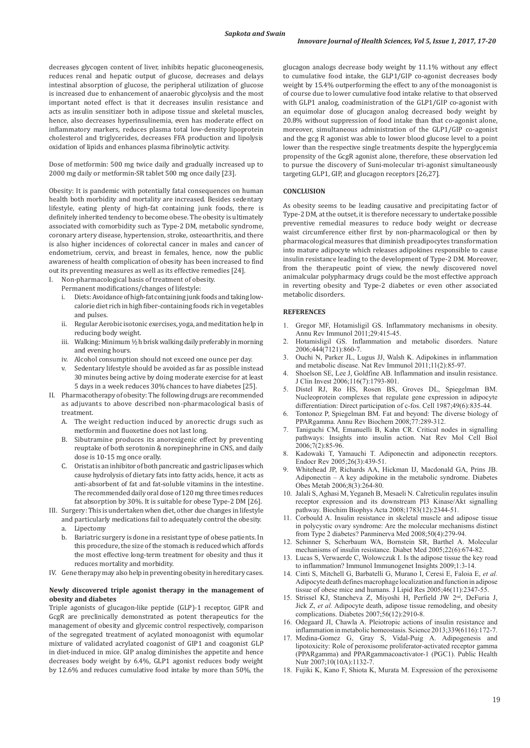decreases glycogen content of liver, inhibits hepatic gluconeogenesis, reduces renal and hepatic output of glucose, decreases and delays intestinal absorption of glucose, the peripheral utilization of glucose is increased due to enhancement of anaerobic glycolysis and the most important noted effect is that it decreases insulin resistance and acts as insulin sensitizer both in adipose tissue and skeletal muscles, hence, also decreases hyperinsulinemia, even has moderate effect on inflammatory markers, reduces plasma total low-density lipoprotein cholesterol and triglycerides, decreases FFA production and lipolysis oxidation of lipids and enhances plasma fibrinolytic activity.

Dose of metformin: 500 mg twice daily and gradually increased up to 2000 mg daily or metformin-SR tablet 500 mg once daily [23].

Obesity: It is pandemic with potentially fatal consequences on human health both morbidity and mortality are increased. Besides sedentary lifestyle, eating plenty of high-fat containing junk foods, there is definitely inherited tendency to become obese. The obesity is ultimately associated with comorbidity such as Type-2 DM, metabolic syndrome, coronary artery disease, hypertension, stroke, osteoarthritis, and there is also higher incidences of colorectal cancer in males and cancer of endometrium, cervix, and breast in females, hence, now the public awareness of health complication of obesity has been increased to find out its preventing measures as well as its effective remedies [24].

I. Non-pharmacological basis of treatment of obesity.

- Permanent modifications/changes of lifestyle:
- i. Diets: Avoidance of high-fat containing junk foods and taking lowcalorie diet rich in high fiber-containing foods rich in vegetables and pulses.
- ii. Regular Aerobic isotonic exercises, yoga, and meditation help in reducing body weight.
- iii. Walking: Minimum ½ h brisk walking daily preferably in morning and evening hours.
- iv. Alcohol consumption should not exceed one ounce per day.
- Sedentary lifestyle should be avoided as far as possible instead 30 minutes being active by doing moderate exercise for at least 5 days in a week reduces 30% chances to have diabetes [25].
- II. Pharmacotherapy of obesity: The following drugs are recommended as adjuvants to above described non-pharmacological basis of treatment.
	- A. The weight reduction induced by anorectic drugs such as metformin and fluoxetine does not last long.
	- B. Sibutramine produces its anorexigenic effect by preventing reuptake of both serotonin & norepinephrine in CNS, and daily dose is 10-15 mg once orally.
	- C. Oristat is an inhibitor of both pancreatic and gastric lipases which cause hydrolysis of dietary fats into fatty acids, hence, it acts as anti-absorbent of fat and fat-soluble vitamins in the intestine. The recommended daily oral dose of 120 mg three times reduces fat absorption by 30%. It is suitable for obese Type-2 DM [26].
- III. Surgery: This is undertaken when diet, other due changes in lifestyle
- and particularly medications fail to adequately control the obesity. a. Lipectomy
	- b. Bariatric surgery is done in a resistant type of obese patients. In this procedure, the size of the stomach is reduced which affords the most effective long-term treatment for obesity and thus it reduces mortality and morbidity.
- IV. Gene therapy may also help in preventing obesity in hereditary cases.

# **Newly discovered triple agonist therapy in the management of obesity and diabetes**

Triple agonists of glucagon-like peptide (GLP)-1 receptor, GIPR and GcgR are preclinically demonstrated as potent therapeutics for the management of obesity and glycemic control respectively, comparison of the segregated treatment of acylated monoagonist with equmolar mixture of validated acrylated coagonist of GIP1 and coagonist GLP in diet-induced in mice. GIP analog diminishes the appetite and hence decreases body weight by 6.4%, GLP1 agonist reduces body weight by 12.6% and reduces cumulative food intake by more than 50%, the glucagon analogs decrease body weight by 11.1% without any effect to cumulative food intake, the GLP1/GIP co-agonist decreases body weight by 15.4% outperforming the effect to any of the monoagonist is of course due to lower cumulative food intake relative to that observed with GLP1 analog, coadministration of the GLP1/GIP co-agonist with an equimolar dose of glucagon analog decreased body weight by 20.8% without suppression of food intake than that co-agonist alone, moreover, simultaneous administration of the GLP1/GIP co-agonist and the gcg R agonist was able to lower blood glucose level to a point lower than the respective single treatments despite the hyperglycemia propensity of the GcgR agonist alone, therefore, these observation led to pursue the discovery of Suni-molecular tri-agonist simultaneously targeting GLP1, GIP, and glucagon receptors [26,27].

### **CONCLUSION**

As obesity seems to be leading causative and precipitating factor of Type-2 DM, at the outset, it is therefore necessary to undertake possible preventive remedial measures to reduce body weight or decrease waist circumference either first by non-pharmacological or then by pharmacological measures that diminish preadipocytes transformation into mature adipocyte which releases adipokines responsible to cause insulin resistance leading to the development of Type-2 DM. Moreover, from the therapeutic point of view, the newly discovered novel animalcular polypharmacy drugs could be the most effective approach in reverting obesity and Type-2 diabetes or even other associated metabolic disorders.

# **REFERENCES**

- 1. Gregor MF, Hotamisligil GS. Inflammatory mechanisms in obesity. Annu Rev Immunol 2011;29:415-45.
- 2. Hotamisligil GS. Inflammation and metabolic disorders. Nature 2006;444(7121):860-7.
- 3. Ouchi N, Parker JL, Lugus JJ, Walsh K. Adipokines in inflammation and metabolic disease. Nat Rev Immunol 2011;11(2):85-97.
- Shoelson SE, Lee J, Goldfine AB. Inflammation and insulin resistance. J Clin Invest 2006;116(7):1793-801.
- 5. Distel RJ, Ro HS, Rosen BS, Groves DL, Spiegelman BM. Nucleoprotein complexes that regulate gene expression in adipocyte differentiation: Direct participation of c-fos. Cell 1987;49(6):835-44.
- Tontonoz P, Spiegelman BM. Fat and beyond: The diverse biology of PPARgamma. Annu Rev Biochem 2008;77:289-312.
- 7. Taniguchi CM, Emanuelli B, Kahn CR. Critical nodes in signalling pathways: Insights into insulin action. Nat Rev Mol Cell Biol 2006;7(2):85-96.
- Kadowaki T, Yamauchi T. Adiponectin and adiponectin receptors. Endocr Rev 2005;26(3):439-51.
- 9. Whitehead JP, Richards AA, Hickman IJ, Macdonald GA, Prins JB. Adiponectin – A key adipokine in the metabolic syndrome. Diabetes Obes Metab 2006;8(3):264-80.
- 10. Jalali S, Aghasi M, Yeganeh B, Mesaeli N. Calreticulin regulates insulin receptor expression and its downstream PI3 Kinase/Akt signalling pathway. Biochim Biophys Acta 2008;1783(12):2344-51.
- 11. Corbould A. Insulin resistance in skeletal muscle and adipose tissue in polycystic ovary syndrome: Are the molecular mechanisms distinct from Type 2 diabetes? Panminerva Med 2008;50(4):279-94.
- 12. Schinner S, Scherbaum WA, Bornstein SR, Barthel A. Molecular mechanisms of insulin resistance. Diabet Med 2005;22(6):674-82.
- 13. Lucas S, Verwaerde C, Wolowczuk I. Is the adipose tissue the key road to inflammation? Immunol Immunogenet Insights 2009;1:3-14.
- 14. Cinti S, Mitchell G, Barbatelli G, Murano I, Ceresi E, Faloia E, *et al.* Adipocyte death defines macrophage localization and function in adipose tissue of obese mice and humans. J Lipid Res 2005;46(11):2347-55.
- 15. Strissel KJ, Stancheva Z, Miyoshi H, Perfield JW 2nd, DeFuria J, Jick Z, *et al.* Adipocyte death, adipose tissue remodeling, and obesity complications. Diabetes 2007;56(12):2910-8.
- 16. Odegaard JI, Chawla A. Pleiotropic actions of insulin resistance and inflammation in metabolic homeostasis. Science 2013;339(6116):172-7.
- Medina-Gomez G, Gray S, Vidal-Puig A. Adipogenesis and lipotoxicity: Role of peroxisome proliferator-activated receptor gamma (PPARgamma) and PPARgammacoactivator-1 (PGC1). Public Health Nutr 2007;10(10A):1132-7.
- 18. Fujiki K, Kano F, Shiota K, Murata M. Expression of the peroxisome